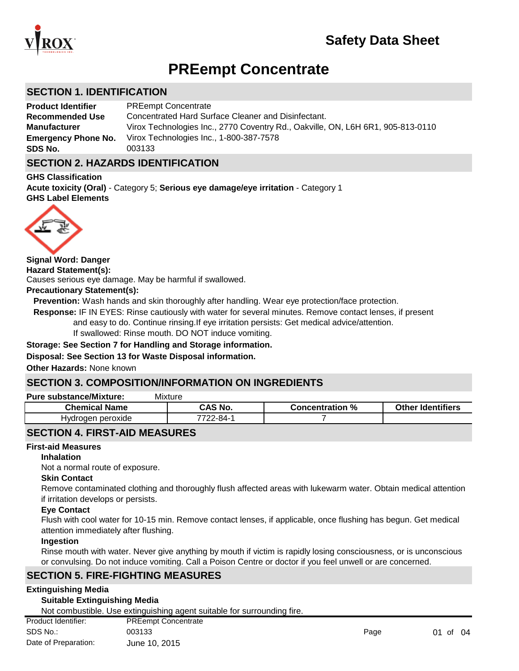

# **PREempt Concentrate**

### **SECTION 1. IDENTIFICATION**

| <b>Product Identifier</b>  | <b>PREempt Concentrate</b>                                                      |
|----------------------------|---------------------------------------------------------------------------------|
| <b>Recommended Use</b>     | Concentrated Hard Surface Cleaner and Disinfectant.                             |
| <b>Manufacturer</b>        | Virox Technologies Inc., 2770 Coventry Rd., Oakville, ON, L6H 6R1, 905-813-0110 |
| <b>Emergency Phone No.</b> | Virox Technologies Inc., 1-800-387-7578                                         |
| SDS No.                    | 003133                                                                          |

### **SECTION 2. HAZARDS IDENTIFICATION**

**GHS Classification GHS Label Elements Acute toxicity (Oral)** - Category 5; **Serious eye damage/eye irritation** - Category 1



**Hazard Statement(s): Precautionary Statement(s):** Causes serious eye damage. May be harmful if swallowed. **Signal Word: Danger**

#### **Prevention:** Wash hands and skin thoroughly after handling. Wear eye protection/face protection.

 **Response:** IF IN EYES: Rinse cautiously with water for several minutes. Remove contact lenses, if present and easy to do. Continue rinsing.If eye irritation persists: Get medical advice/attention.

If swallowed: Rinse mouth. DO NOT induce vomiting.

#### **Storage: See Section 7 for Handling and Storage information.**

#### **Disposal: See Section 13 for Waste Disposal information.**

**Other Hazards:** None known

### **SECTION 3. COMPOSITION/INFORMATION ON INGREDIENTS**

#### **Pure substance/Mixture:** Mixture

| ---------------------------------<br>___ |                        |                 |                          |  |  |
|------------------------------------------|------------------------|-----------------|--------------------------|--|--|
| <b>Chemical Name</b>                     | CAS No.                | Concentration % | <b>Other Identifiers</b> |  |  |
| Hvdroaen peroxide                        | <sup>-7722</sup> -84-1 |                 |                          |  |  |
|                                          |                        |                 |                          |  |  |

### **SECTION 4. FIRST-AID MEASURES**

#### **First-aid Measures**

**Inhalation**

Not a normal route of exposure.

#### **Skin Contact**

Remove contaminated clothing and thoroughly flush affected areas with lukewarm water. Obtain medical attention if irritation develops or persists.

#### **Eye Contact**

Flush with cool water for 10-15 min. Remove contact lenses, if applicable, once flushing has begun. Get medical attention immediately after flushing.

#### **Ingestion**

Rinse mouth with water. Never give anything by mouth if victim is rapidly losing consciousness, or is unconscious or convulsing. Do not induce vomiting. Call a Poison Centre or doctor if you feel unwell or are concerned.

### **SECTION 5. FIRE-FIGHTING MEASURES**

#### **Extinguishing Media**

#### **Suitable Extinguishing Media**

Not combustible. Use extinguishing agent suitable for surrounding fire.

| Product Identifier:  | <b>PREempt Concentrate</b> |      |          |  |
|----------------------|----------------------------|------|----------|--|
| SDS No.:             | 003133                     | Page | 01 of 04 |  |
| Date of Preparation: | June 10, 2015              |      |          |  |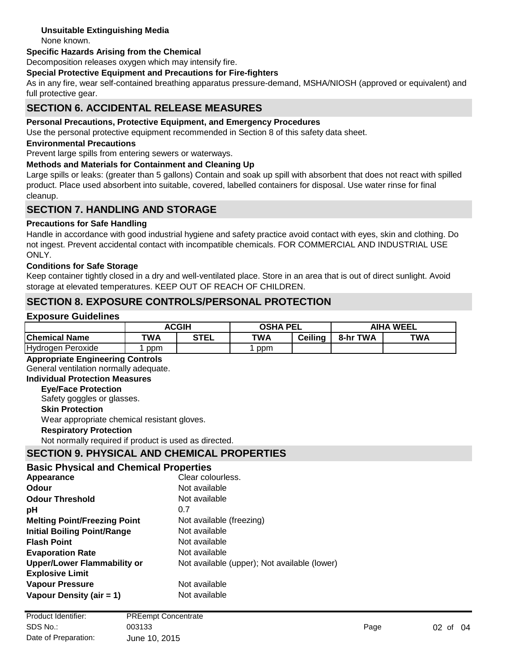### **Unsuitable Extinguishing Media**

None known.

#### **Specific Hazards Arising from the Chemical**

Decomposition releases oxygen which may intensify fire.

#### **Special Protective Equipment and Precautions for Fire-fighters**

As in any fire, wear self-contained breathing apparatus pressure-demand, MSHA/NIOSH (approved or equivalent) and full protective gear.

### **SECTION 6. ACCIDENTAL RELEASE MEASURES**

#### **Personal Precautions, Protective Equipment, and Emergency Procedures**

Use the personal protective equipment recommended in Section 8 of this safety data sheet.

#### **Environmental Precautions**

Prevent large spills from entering sewers or waterways.

#### **Methods and Materials for Containment and Cleaning Up**

Large spills or leaks: (greater than 5 gallons) Contain and soak up spill with absorbent that does not react with spilled product. Place used absorbent into suitable, covered, labelled containers for disposal. Use water rinse for final cleanup.

### **SECTION 7. HANDLING AND STORAGE**

#### **Precautions for Safe Handling**

Handle in accordance with good industrial hygiene and safety practice avoid contact with eyes, skin and clothing. Do not ingest. Prevent accidental contact with incompatible chemicals. FOR COMMERCIAL AND INDUSTRIAL USE ONLY.

#### **Conditions for Safe Storage**

Keep container tightly closed in a dry and well-ventilated place. Store in an area that is out of direct sunlight. Avoid storage at elevated temperatures. KEEP OUT OF REACH OF CHILDREN.

### **SECTION 8. EXPOSURE CONTROLS/PERSONAL PROTECTION**

#### **Exposure Guidelines**

|                      | <b>ACGIH</b> |             | <b>OSHA PEL</b> |                | <b>AIHA WEEL</b> |     |
|----------------------|--------------|-------------|-----------------|----------------|------------------|-----|
| <b>Chemical Name</b> | TWA          | <b>STEL</b> | <b>TWA</b>      | <b>Ceiling</b> | TWA<br>8-hr      | TWA |
| Hydrogen Peroxide    | ppm          |             | ppm             |                |                  |     |

#### **Appropriate Engineering Controls**

General ventilation normally adequate.

### **Individual Protection Measures**

**Eye/Face Protection**

Safety goggles or glasses.

### **Skin Protection**

Wear appropriate chemical resistant gloves.

#### **Respiratory Protection**

Not normally required if product is used as directed.

### **SECTION 9. PHYSICAL AND CHEMICAL PROPERTIES**

#### **Basic Physical and Chemical Properties**

| Appearance                          | Clear colourless.                            |
|-------------------------------------|----------------------------------------------|
| Odour                               | Not available                                |
| <b>Odour Threshold</b>              | Not available                                |
| рH                                  | 0.7                                          |
| <b>Melting Point/Freezing Point</b> | Not available (freezing)                     |
| <b>Initial Boiling Point/Range</b>  | Not available                                |
| <b>Flash Point</b>                  | Not available                                |
| <b>Evaporation Rate</b>             | Not available                                |
| <b>Upper/Lower Flammability or</b>  | Not available (upper); Not available (lower) |
| <b>Explosive Limit</b>              |                                              |
| <b>Vapour Pressure</b>              | Not available                                |
| Vapour Density (air = 1)            | Not available                                |
|                                     |                                              |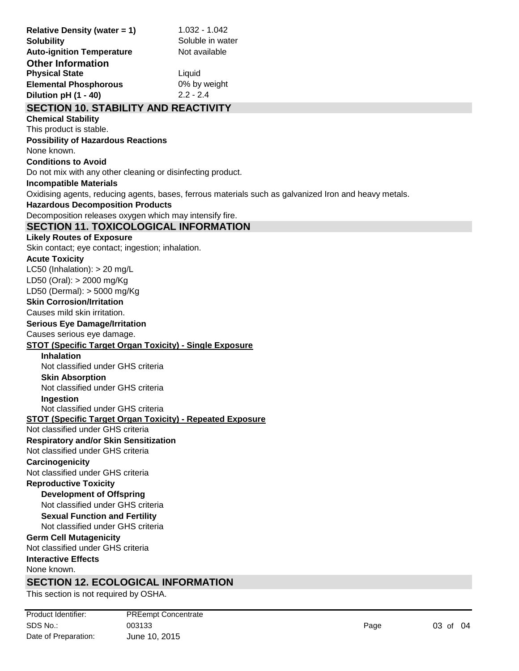| <b>Relative Density (water = 1)</b><br><b>Solubility</b>                                     | 1.032 - 1.042<br>Soluble in water                                                                     |  |  |  |
|----------------------------------------------------------------------------------------------|-------------------------------------------------------------------------------------------------------|--|--|--|
| <b>Auto-ignition Temperature</b>                                                             | Not available                                                                                         |  |  |  |
| <b>Other Information</b>                                                                     |                                                                                                       |  |  |  |
| <b>Physical State</b>                                                                        | Liquid                                                                                                |  |  |  |
| <b>Elemental Phosphorous</b><br>Dilution pH (1 - 40)                                         | 0% by weight<br>$2.2 - 2.4$                                                                           |  |  |  |
|                                                                                              |                                                                                                       |  |  |  |
| <b>SECTION 10. STABILITY AND REACTIVITY</b><br><b>Chemical Stability</b>                     |                                                                                                       |  |  |  |
| This product is stable.                                                                      |                                                                                                       |  |  |  |
| <b>Possibility of Hazardous Reactions</b>                                                    |                                                                                                       |  |  |  |
| None known.                                                                                  |                                                                                                       |  |  |  |
| <b>Conditions to Avoid</b>                                                                   |                                                                                                       |  |  |  |
| Do not mix with any other cleaning or disinfecting product.                                  |                                                                                                       |  |  |  |
| <b>Incompatible Materials</b>                                                                |                                                                                                       |  |  |  |
|                                                                                              | Oxidising agents, reducing agents, bases, ferrous materials such as galvanized Iron and heavy metals. |  |  |  |
| <b>Hazardous Decomposition Products</b>                                                      |                                                                                                       |  |  |  |
| Decomposition releases oxygen which may intensify fire.                                      |                                                                                                       |  |  |  |
| <b>SECTION 11. TOXICOLOGICAL INFORMATION</b>                                                 |                                                                                                       |  |  |  |
| <b>Likely Routes of Exposure</b>                                                             |                                                                                                       |  |  |  |
| Skin contact; eye contact; ingestion; inhalation.                                            |                                                                                                       |  |  |  |
| <b>Acute Toxicity</b>                                                                        |                                                                                                       |  |  |  |
| LC50 (Inhalation): $> 20$ mg/L                                                               |                                                                                                       |  |  |  |
| LD50 (Oral): > 2000 mg/Kg                                                                    |                                                                                                       |  |  |  |
| LD50 (Dermal): > 5000 mg/Kg                                                                  |                                                                                                       |  |  |  |
| <b>Skin Corrosion/Irritation</b>                                                             |                                                                                                       |  |  |  |
| Causes mild skin irritation.                                                                 |                                                                                                       |  |  |  |
| <b>Serious Eye Damage/Irritation</b>                                                         |                                                                                                       |  |  |  |
| Causes serious eye damage.<br><b>STOT (Specific Target Organ Toxicity) - Single Exposure</b> |                                                                                                       |  |  |  |
| <b>Inhalation</b>                                                                            |                                                                                                       |  |  |  |
| Not classified under GHS criteria                                                            |                                                                                                       |  |  |  |
| <b>Skin Absorption</b>                                                                       |                                                                                                       |  |  |  |
| Not classified under GHS criteria                                                            |                                                                                                       |  |  |  |
| Inaestion                                                                                    |                                                                                                       |  |  |  |
| Not classified under GHS criteria                                                            |                                                                                                       |  |  |  |
| <b>STOT (Specific Target Organ Toxicity) - Repeated Exposure</b>                             |                                                                                                       |  |  |  |
| Not classified under GHS criteria                                                            |                                                                                                       |  |  |  |
| <b>Respiratory and/or Skin Sensitization</b>                                                 |                                                                                                       |  |  |  |
| Not classified under GHS criteria                                                            |                                                                                                       |  |  |  |
| Carcinogenicity                                                                              |                                                                                                       |  |  |  |
| Not classified under GHS criteria                                                            |                                                                                                       |  |  |  |
| <b>Reproductive Toxicity</b><br><b>Development of Offspring</b>                              |                                                                                                       |  |  |  |
| Not classified under GHS criteria                                                            |                                                                                                       |  |  |  |
| <b>Sexual Function and Fertility</b>                                                         |                                                                                                       |  |  |  |
| Not classified under GHS criteria                                                            |                                                                                                       |  |  |  |
| <b>Germ Cell Mutagenicity</b>                                                                |                                                                                                       |  |  |  |
| Not classified under GHS criteria                                                            |                                                                                                       |  |  |  |
| <b>Interactive Effects</b>                                                                   |                                                                                                       |  |  |  |
| None known.                                                                                  |                                                                                                       |  |  |  |
| <b>SECTION 12. ECOLOGICAL INFORMATION</b>                                                    |                                                                                                       |  |  |  |
| This section is not required by OSHA.                                                        |                                                                                                       |  |  |  |
| Product Identifier:<br><b>PREempt Concentrate</b>                                            |                                                                                                       |  |  |  |

SDS No.: 003133 Page 03 of 04

Date of Preparation: June 10, 2015